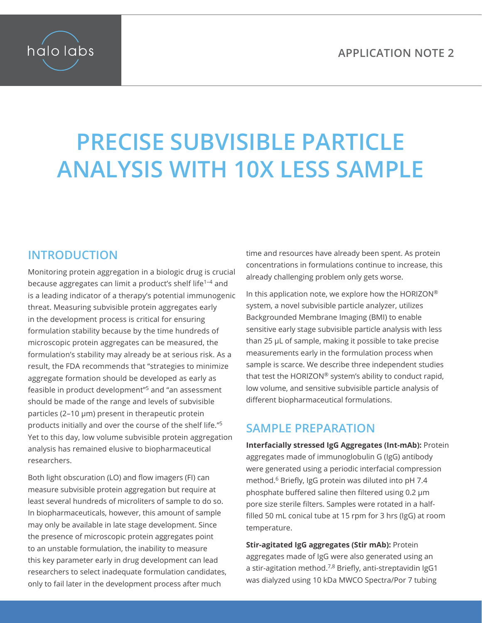

# **PRECISE SUBVISIBLE PARTICLE ANALYSIS WITH 10X LESS SAMPLE**

## **INTRODUCTION**

Monitoring protein aggregation in a biologic drug is crucial because aggregates can limit a product's shelf life1–4 and is a leading indicator of a therapy's potential immunogenic threat. Measuring subvisible protein aggregates early in the development process is critical for ensuring formulation stability because by the time hundreds of microscopic protein aggregates can be measured, the formulation's stability may already be at serious risk. As a result, the FDA recommends that "strategies to minimize aggregate formation should be developed as early as feasible in product development"5 and "an assessment should be made of the range and levels of subvisible particles (2–10 μm) present in therapeutic protein products initially and over the course of the shelf life."5 Yet to this day, low volume subvisible protein aggregation analysis has remained elusive to biopharmaceutical researchers.

Both light obscuration (LO) and flow imagers (FI) can measure subvisible protein aggregation but require at least several hundreds of microliters of sample to do so. In biopharmaceuticals, however, this amount of sample may only be available in late stage development. Since the presence of microscopic protein aggregates point to an unstable formulation, the inability to measure this key parameter early in drug development can lead researchers to select inadequate formulation candidates, only to fail later in the development process after much

time and resources have already been spent. As protein concentrations in formulations continue to increase, this already challenging problem only gets worse.

In this application note, we explore how the HORIZON® system, a novel subvisible particle analyzer, utilizes Backgrounded Membrane Imaging (BMI) to enable sensitive early stage subvisible particle analysis with less than 25 µL of sample, making it possible to take precise measurements early in the formulation process when sample is scarce. We describe three independent studies that test the HORIZON® system's ability to conduct rapid, low volume, and sensitive subvisible particle analysis of different biopharmaceutical formulations.

### **SAMPLE PREPARATION**

**Interfacially stressed IgG Aggregates (Int-mAb):** Protein aggregates made of immunoglobulin G (IgG) antibody were generated using a periodic interfacial compression method.<sup>6</sup> Briefly, IgG protein was diluted into pH 7.4 phosphate buffered saline then filtered using 0.2 μm pore size sterile filters. Samples were rotated in a halffilled 50 mL conical tube at 15 rpm for 3 hrs (IgG) at room temperature.

**Stir-agitated IgG aggregates (Stir mAb):** Protein aggregates made of IgG were also generated using an a stir-agitation method.7,8 Briefly, anti-streptavidin IgG1 was dialyzed using 10 kDa MWCO Spectra/Por 7 tubing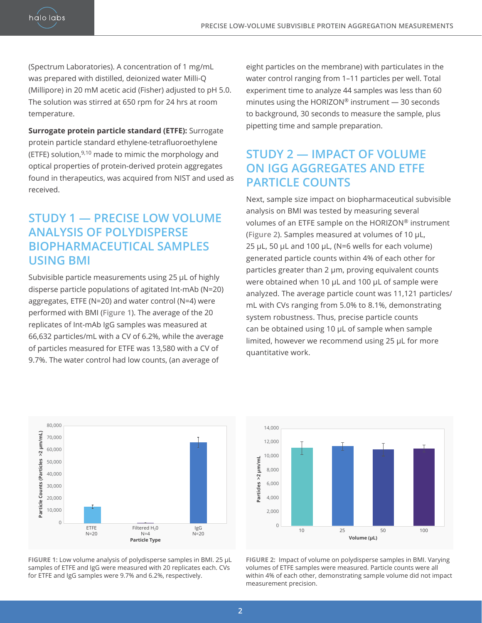(Spectrum Laboratories). A concentration of 1 mg/mL was prepared with distilled, deionized water Milli-Q (Millipore) in 20 mM acetic acid (Fisher) adjusted to pH 5.0. The solution was stirred at 650 rpm for 24 hrs at room temperature.

halo labs

**Surrogate protein particle standard (ETFE):** Surrogate protein particle standard ethylene-tetrafluoroethylene (ETFE) solution, $9,10$  made to mimic the morphology and optical properties of protein-derived protein aggregates found in therapeutics, was acquired from NIST and used as received.

### **STUDY 1 — PRECISE LOW VOLUME ANALYSIS OF POLYDISPERSE BIOPHARMACEUTICAL SAMPLES USING BMI**

Subvisible particle measurements using 25 μL of highly disperse particle populations of agitated Int-mAb (N=20) aggregates, ETFE (N=20) and water control (N=4) were performed with BMI (**Figure 1**). The average of the 20 replicates of Int-mAb IgG samples was measured at 66,632 particles/mL with a CV of 6.2%, while the average of particles measured for ETFE was 13,580 with a CV of 9.7%. The water control had low counts, (an average of

eight particles on the membrane) with particulates in the water control ranging from 1–11 particles per well. Total experiment time to analyze 44 samples was less than 60 minutes using the HORIZON® instrument — 30 seconds to background, 30 seconds to measure the sample, plus pipetting time and sample preparation.

### **STUDY 2 — IMPACT OF VOLUME ON IGG AGGREGATES AND ETFE PARTICLE COUNTS**

Next, sample size impact on biopharmaceutical subvisible analysis on BMI was tested by measuring several volumes of an ETFE sample on the HORIZON® instrument (**Figure 2**). Samples measured at volumes of 10 μL, 25 μL, 50 μL and 100 μL, (N=6 wells for each volume) generated particle counts within 4% of each other for particles greater than 2 μm, proving equivalent counts were obtained when 10 μL and 100 μL of sample were analyzed. The average particle count was 11,121 particles/ mL with CVs ranging from 5.0% to 8.1%, demonstrating system robustness. Thus, precise particle counts can be obtained using 10 μL of sample when sample limited, however we recommend using 25 µL for more quantitative work.



**Figure 1:** Low volume analysis of polydisperse samples in BMI. 25 μL samples of ETFE and IgG were measured with 20 replicates each. CVs for ETFE and IgG samples were 9.7% and 6.2%, respectively.



**Figure 2:** Impact of volume on polydisperse samples in BMI. Varying volumes of ETFE samples were measured. Particle counts were all within 4% of each other, demonstrating sample volume did not impact measurement precision.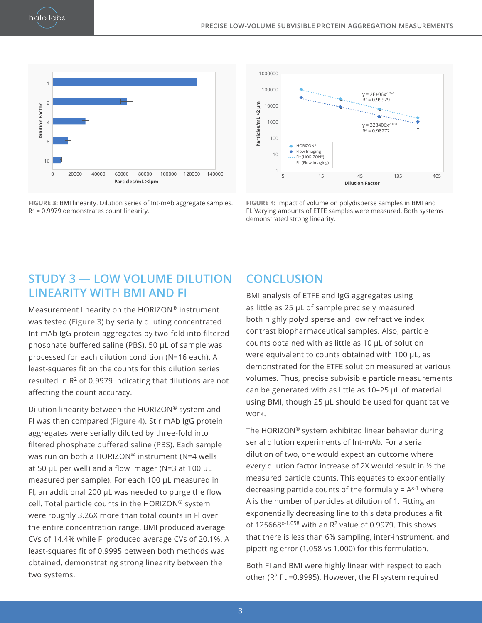



**Figure 3:** BMI linearity. Dilution series of Int-mAb aggregate samples.  $R^2$  = 0.9979 demonstrates count linearity.



**Figure 4:** Impact of volume on polydisperse samples in BMI and FI. Varying amounts of ETFE samples were measured. Both systems demonstrated strong linearity.

#### **STUDY 3 — LOW VOLUME DILUTION LINEARITY WITH BMI AND FI**

Measurement linearity on the HORIZON® instrument was tested (**Figure 3**) by serially diluting concentrated Int-mAb IgG protein aggregates by two-fold into filtered phosphate buffered saline (PBS). 50 μL of sample was processed for each dilution condition (N=16 each). A least-squares fit on the counts for this dilution series resulted in  $R^2$  of 0.9979 indicating that dilutions are not affecting the count accuracy.

Dilution linearity between the HORIZON® system and FI was then compared (**Figure 4**). Stir mAb IgG protein aggregates were serially diluted by three-fold into filtered phosphate buffered saline (PBS). Each sample was run on both a HORIZON® instrument (N=4 wells at 50 μL per well) and a flow imager (N=3 at 100 μL measured per sample). For each 100 μL measured in Fl, an additional 200 μL was needed to purge the flow cell. Total particle counts in the HORIZON® system were roughly 3.26X more than total counts in Fl over the entire concentration range. BMI produced average CVs of 14.4% while Fl produced average CVs of 20.1%. A least-squares fit of 0.9995 between both methods was obtained, demonstrating strong linearity between the two systems.

#### **CONCLUSION**

BMI analysis of ETFE and IgG aggregates using as little as 25 μL of sample precisely measured both highly polydisperse and low refractive index contrast biopharmaceutical samples. Also, particle counts obtained with as little as 10 μL of solution were equivalent to counts obtained with 100 μL, as demonstrated for the ETFE solution measured at various volumes. Thus, precise subvisible particle measurements can be generated with as little as 10–25 μL of material using BMI, though 25 μL should be used for quantitative work.

The HORIZON® system exhibited linear behavior during serial dilution experiments of Int-mAb. For a serial dilution of two, one would expect an outcome where every dilution factor increase of 2X would result in ½ the measured particle counts. This equates to exponentially decreasing particle counts of the formula  $y = A^{x-1}$  where A is the number of particles at dilution of 1. Fitting an exponentially decreasing line to this data produces a fit of 125668 $x-1.058$  with an R<sup>2</sup> value of 0.9979. This shows that there is less than 6% sampling, inter-instrument, and pipetting error (1.058 vs 1.000) for this formulation.

Both FI and BMI were highly linear with respect to each other ( $R^2$  fit =0.9995). However, the FI system required